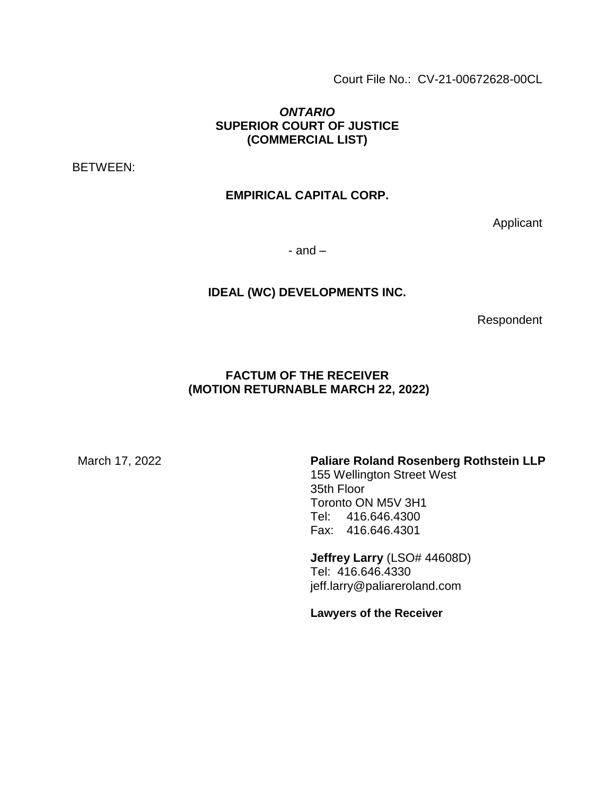Court File No.: CV-21-00672628-00CL

## *ONTARIO* **SUPERIOR COURT OF JUSTICE (COMMERCIAL LIST)**

BETWEEN:

## **EMPIRICAL CAPITAL CORP.**

Applicant

 $-$  and  $-$ 

#### **IDEAL (WC) DEVELOPMENTS INC.**

Respondent

### **FACTUM OF THE RECEIVER (MOTION RETURNABLE MARCH 22, 2022)**

March 17, 2022 **Paliare Roland Rosenberg Rothstein LLP**

155 Wellington Street West 35th Floor Toronto ON M5V 3H1 Tel: 416.646.4300 Fax: 416.646.4301

**Jeffrey Larry** (LSO# 44608D) Tel: 416.646.4330 jeff.larry@paliareroland.com

**Lawyers of the Receiver**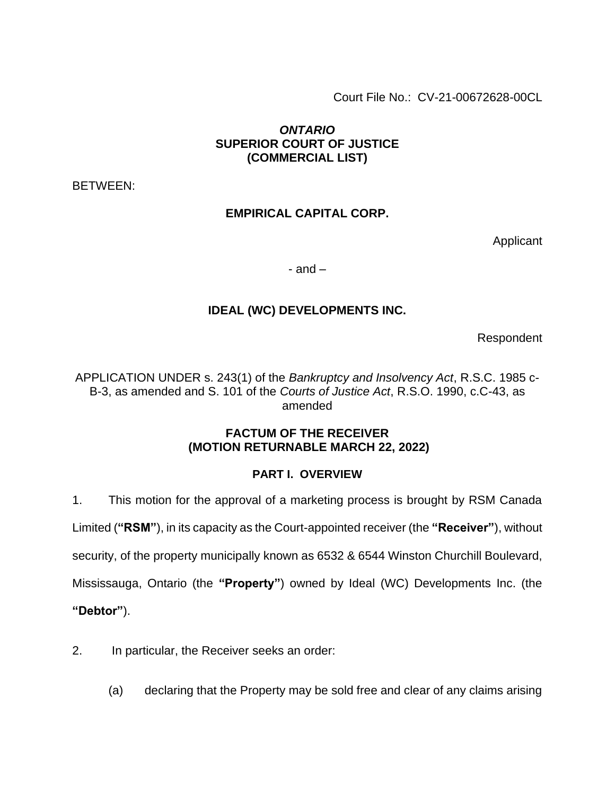Court File No.: CV-21-00672628-00CL

## *ONTARIO* **SUPERIOR COURT OF JUSTICE (COMMERCIAL LIST)**

BETWEEN:

## **EMPIRICAL CAPITAL CORP.**

Applicant

- and  $-$ 

## **IDEAL (WC) DEVELOPMENTS INC.**

Respondent

APPLICATION UNDER s. 243(1) of the *Bankruptcy and Insolvency Act*, R.S.C. 1985 c-B-3, as amended and S. 101 of the *Courts of Justice Act*, R.S.O. 1990, c.C-43, as amended

### **FACTUM OF THE RECEIVER (MOTION RETURNABLE MARCH 22, 2022)**

## **PART I. OVERVIEW**

1. This motion for the approval of a marketing process is brought by RSM Canada

Limited (**"RSM"**), in its capacity as the Court-appointed receiver (the **"Receiver"**), without

security, of the property municipally known as 6532 & 6544 Winston Churchill Boulevard,

Mississauga, Ontario (the **"Property"**) owned by Ideal (WC) Developments Inc. (the

**"Debtor"**).

- 2. In particular, the Receiver seeks an order:
	- (a) declaring that the Property may be sold free and clear of any claims arising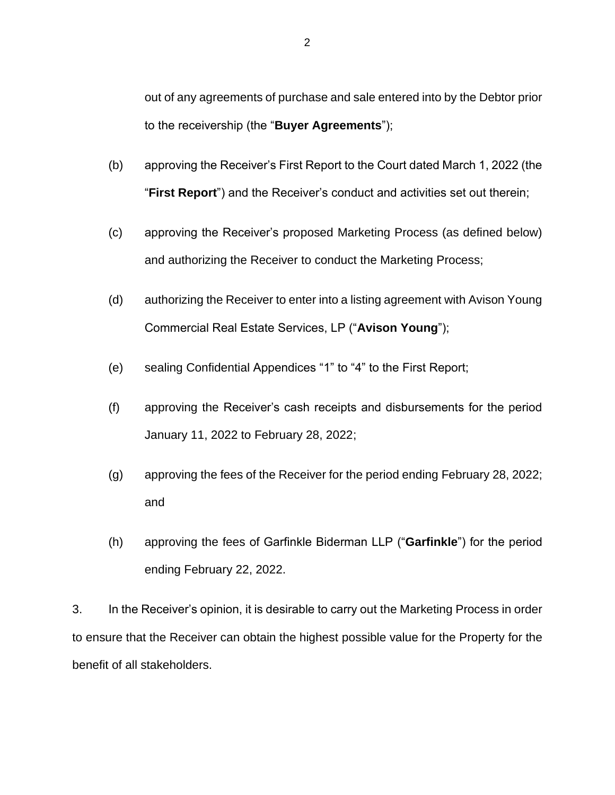out of any agreements of purchase and sale entered into by the Debtor prior to the receivership (the "**Buyer Agreements**");

- (b) approving the Receiver's First Report to the Court dated March 1, 2022 (the "**First Report**") and the Receiver's conduct and activities set out therein;
- (c) approving the Receiver's proposed Marketing Process (as defined below) and authorizing the Receiver to conduct the Marketing Process;
- (d) authorizing the Receiver to enter into a listing agreement with Avison Young Commercial Real Estate Services, LP ("**Avison Young**");
- (e) sealing Confidential Appendices "1" to "4" to the First Report;
- (f) approving the Receiver's cash receipts and disbursements for the period January 11, 2022 to February 28, 2022;
- (g) approving the fees of the Receiver for the period ending February 28, 2022; and
- (h) approving the fees of Garfinkle Biderman LLP ("**Garfinkle**") for the period ending February 22, 2022.

3. In the Receiver's opinion, it is desirable to carry out the Marketing Process in order to ensure that the Receiver can obtain the highest possible value for the Property for the benefit of all stakeholders.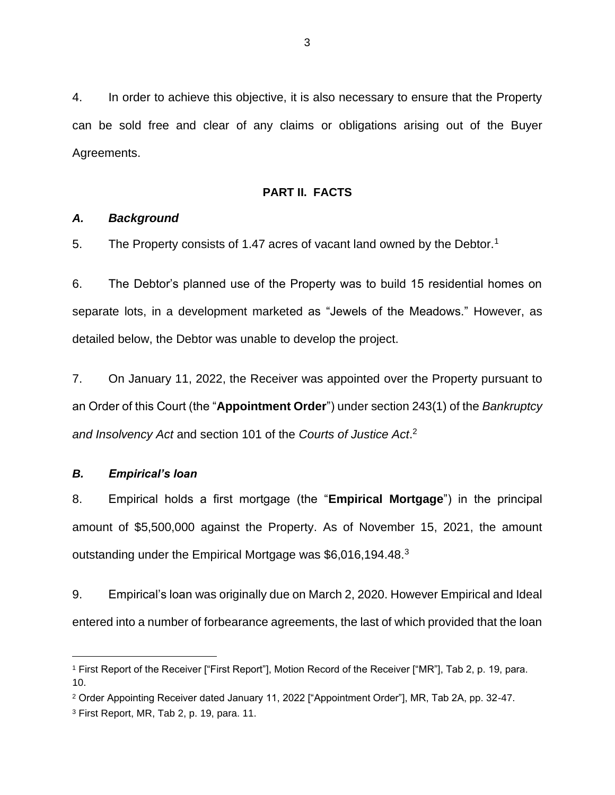4. In order to achieve this objective, it is also necessary to ensure that the Property can be sold free and clear of any claims or obligations arising out of the Buyer Agreements.

#### **PART II. FACTS**

#### *A. Background*

5. The Property consists of 1.47 acres of vacant land owned by the Debtor.<sup>1</sup>

6. The Debtor's planned use of the Property was to build 15 residential homes on separate lots, in a development marketed as "Jewels of the Meadows." However, as detailed below, the Debtor was unable to develop the project.

7. On January 11, 2022, the Receiver was appointed over the Property pursuant to an Order of this Court (the "**Appointment Order**") under section 243(1) of the *Bankruptcy and Insolvency Act* and section 101 of the *Courts of Justice Act*. 2

#### *B. Empirical's loan*

8. Empirical holds a first mortgage (the "**Empirical Mortgage**") in the principal amount of \$5,500,000 against the Property. As of November 15, 2021, the amount outstanding under the Empirical Mortgage was \$6,016,194.48.<sup>3</sup>

9. Empirical's loan was originally due on March 2, 2020. However Empirical and Ideal entered into a number of forbearance agreements, the last of which provided that the loan

<sup>1</sup> First Report of the Receiver ["First Report"], Motion Record of the Receiver ["MR"], Tab 2, p. 19, para. 10.

<sup>2</sup> Order Appointing Receiver dated January 11, 2022 ["Appointment Order"], MR, Tab 2A, pp. 32-47.

<sup>3</sup> First Report, MR, Tab 2, p. 19, para. 11.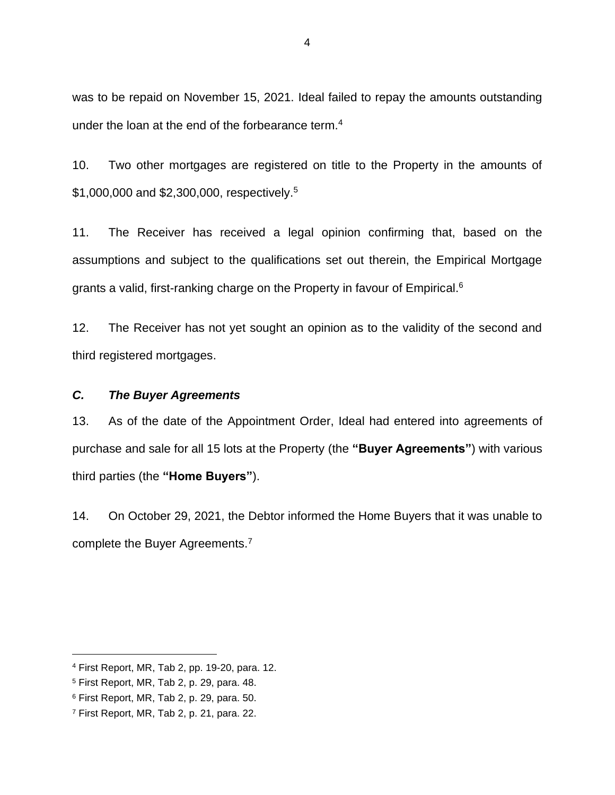was to be repaid on November 15, 2021. Ideal failed to repay the amounts outstanding under the loan at the end of the forbearance term.<sup>4</sup>

10. Two other mortgages are registered on title to the Property in the amounts of \$1,000,000 and \$2,300,000, respectively.<sup>5</sup>

11. The Receiver has received a legal opinion confirming that, based on the assumptions and subject to the qualifications set out therein, the Empirical Mortgage grants a valid, first-ranking charge on the Property in favour of Empirical.<sup>6</sup>

12. The Receiver has not yet sought an opinion as to the validity of the second and third registered mortgages.

### *C. The Buyer Agreements*

13. As of the date of the Appointment Order, Ideal had entered into agreements of purchase and sale for all 15 lots at the Property (the **"Buyer Agreements"**) with various third parties (the **"Home Buyers"**).

14. On October 29, 2021, the Debtor informed the Home Buyers that it was unable to complete the Buyer Agreements.<sup>7</sup>

<sup>4</sup> First Report, MR, Tab 2, pp. 19-20, para. 12.

<sup>5</sup> First Report, MR, Tab 2, p. 29, para. 48.

<sup>6</sup> First Report, MR, Tab 2, p. 29, para. 50.

<sup>7</sup> First Report, MR, Tab 2, p. 21, para. 22.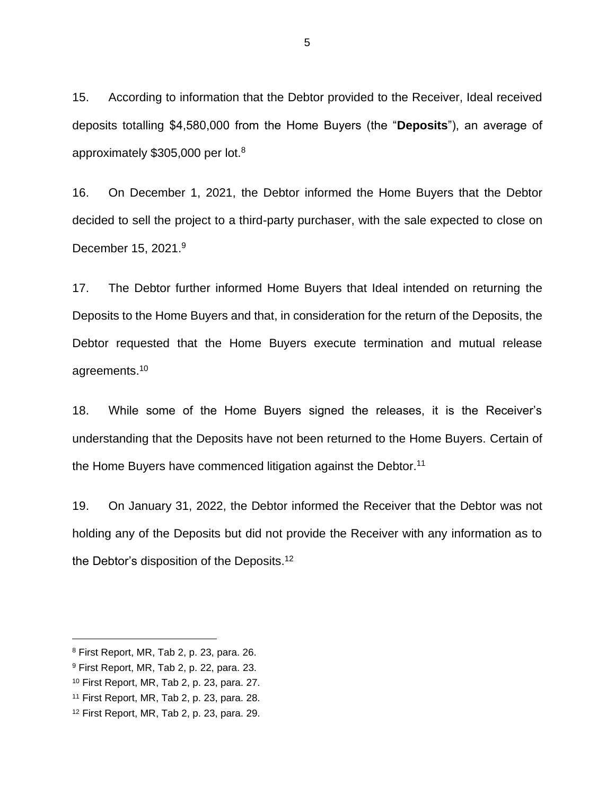15. According to information that the Debtor provided to the Receiver, Ideal received deposits totalling \$4,580,000 from the Home Buyers (the "**Deposits**"), an average of approximately \$305,000 per lot.<sup>8</sup>

16. On December 1, 2021, the Debtor informed the Home Buyers that the Debtor decided to sell the project to a third-party purchaser, with the sale expected to close on December 15, 2021.<sup>9</sup>

17. The Debtor further informed Home Buyers that Ideal intended on returning the Deposits to the Home Buyers and that, in consideration for the return of the Deposits, the Debtor requested that the Home Buyers execute termination and mutual release agreements.<sup>10</sup>

18. While some of the Home Buyers signed the releases, it is the Receiver's understanding that the Deposits have not been returned to the Home Buyers. Certain of the Home Buyers have commenced litigation against the Debtor.<sup>11</sup>

19. On January 31, 2022, the Debtor informed the Receiver that the Debtor was not holding any of the Deposits but did not provide the Receiver with any information as to the Debtor's disposition of the Deposits.<sup>12</sup>

<sup>8</sup> First Report, MR, Tab 2, p. 23, para. 26.

<sup>9</sup> First Report, MR, Tab 2, p. 22, para. 23.

<sup>10</sup> First Report, MR, Tab 2, p. 23, para. 27.

<sup>11</sup> First Report, MR, Tab 2, p. 23, para. 28.

<sup>12</sup> First Report, MR, Tab 2, p. 23, para. 29.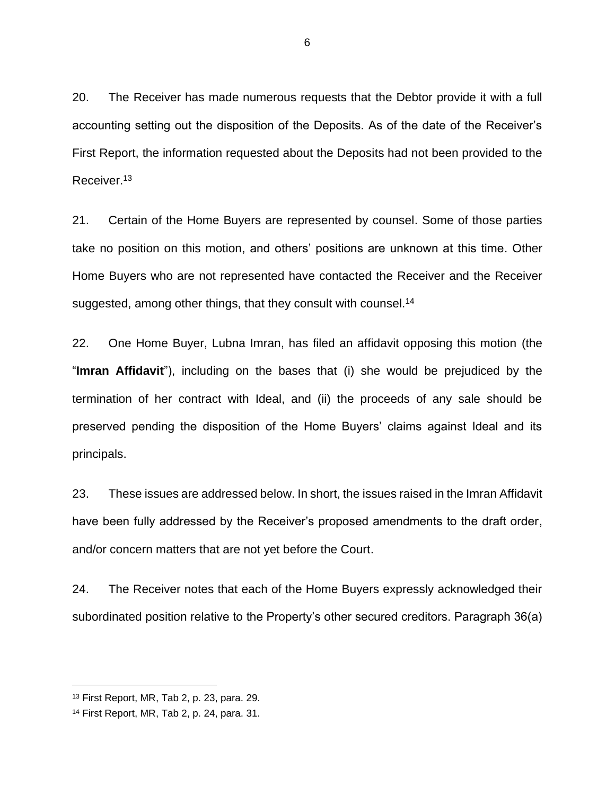20. The Receiver has made numerous requests that the Debtor provide it with a full accounting setting out the disposition of the Deposits. As of the date of the Receiver's First Report, the information requested about the Deposits had not been provided to the Receiver.<sup>13</sup>

21. Certain of the Home Buyers are represented by counsel. Some of those parties take no position on this motion, and others' positions are unknown at this time. Other Home Buyers who are not represented have contacted the Receiver and the Receiver suggested, among other things, that they consult with counsel.<sup>14</sup>

22. One Home Buyer, Lubna Imran, has filed an affidavit opposing this motion (the "**Imran Affidavit**"), including on the bases that (i) she would be prejudiced by the termination of her contract with Ideal, and (ii) the proceeds of any sale should be preserved pending the disposition of the Home Buyers' claims against Ideal and its principals.

23. These issues are addressed below. In short, the issues raised in the Imran Affidavit have been fully addressed by the Receiver's proposed amendments to the draft order, and/or concern matters that are not yet before the Court.

24. The Receiver notes that each of the Home Buyers expressly acknowledged their subordinated position relative to the Property's other secured creditors. Paragraph 36(a)

<sup>13</sup> First Report, MR, Tab 2, p. 23, para. 29.

<sup>14</sup> First Report, MR, Tab 2, p. 24, para. 31.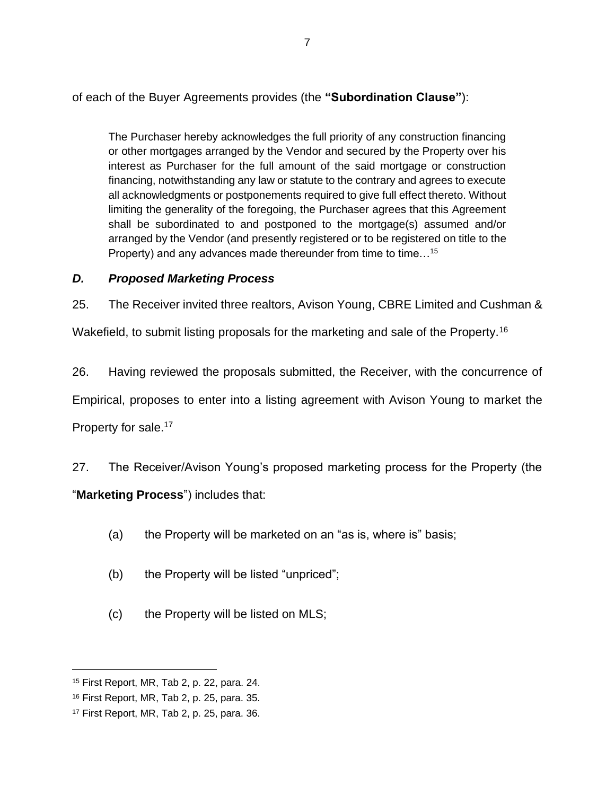of each of the Buyer Agreements provides (the **"Subordination Clause"**):

The Purchaser hereby acknowledges the full priority of any construction financing or other mortgages arranged by the Vendor and secured by the Property over his interest as Purchaser for the full amount of the said mortgage or construction financing, notwithstanding any law or statute to the contrary and agrees to execute all acknowledgments or postponements required to give full effect thereto. Without limiting the generality of the foregoing, the Purchaser agrees that this Agreement shall be subordinated to and postponed to the mortgage(s) assumed and/or arranged by the Vendor (and presently registered or to be registered on title to the Property) and any advances made thereunder from time to time...<sup>15</sup>

## *D. Proposed Marketing Process*

25. The Receiver invited three realtors, Avison Young, CBRE Limited and Cushman &

Wakefield, to submit listing proposals for the marketing and sale of the Property.<sup>16</sup>

26. Having reviewed the proposals submitted, the Receiver, with the concurrence of Empirical, proposes to enter into a listing agreement with Avison Young to market the Property for sale.<sup>17</sup>

27. The Receiver/Avison Young's proposed marketing process for the Property (the "**Marketing Process**") includes that:

- (a) the Property will be marketed on an "as is, where is" basis;
- (b) the Property will be listed "unpriced";
- (c) the Property will be listed on MLS;

<sup>15</sup> First Report, MR, Tab 2, p. 22, para. 24.

<sup>16</sup> First Report, MR, Tab 2, p. 25, para. 35.

<sup>17</sup> First Report, MR, Tab 2, p. 25, para. 36.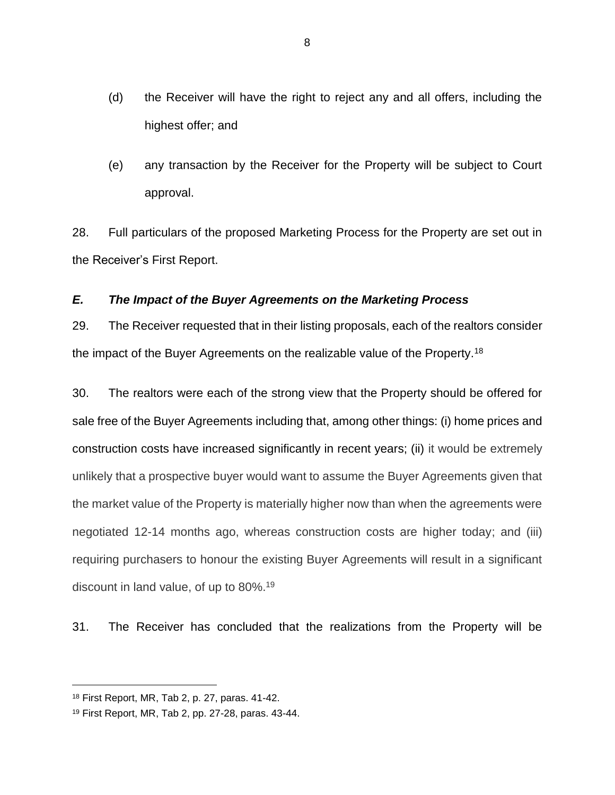- (d) the Receiver will have the right to reject any and all offers, including the highest offer; and
- (e) any transaction by the Receiver for the Property will be subject to Court approval.

28. Full particulars of the proposed Marketing Process for the Property are set out in the Receiver's First Report.

### *E. The Impact of the Buyer Agreements on the Marketing Process*

29. The Receiver requested that in their listing proposals, each of the realtors consider the impact of the Buyer Agreements on the realizable value of the Property.<sup>18</sup>

30. The realtors were each of the strong view that the Property should be offered for sale free of the Buyer Agreements including that, among other things: (i) home prices and construction costs have increased significantly in recent years; (ii) it would be extremely unlikely that a prospective buyer would want to assume the Buyer Agreements given that the market value of the Property is materially higher now than when the agreements were negotiated 12-14 months ago, whereas construction costs are higher today; and (iii) requiring purchasers to honour the existing Buyer Agreements will result in a significant discount in land value, of up to 80%. 19

31. The Receiver has concluded that the realizations from the Property will be

<sup>18</sup> First Report, MR, Tab 2, p. 27, paras. 41-42.

<sup>19</sup> First Report, MR, Tab 2, pp. 27-28, paras. 43-44.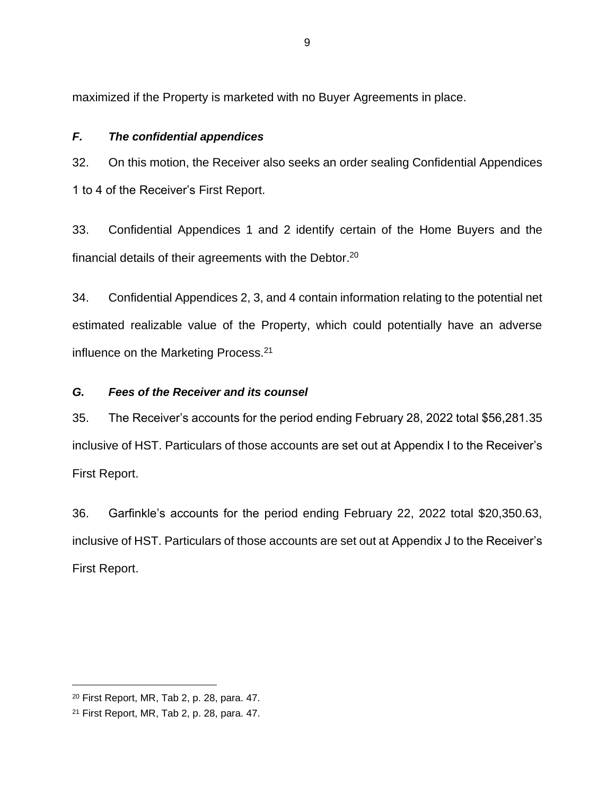maximized if the Property is marketed with no Buyer Agreements in place.

## *F. The confidential appendices*

32. On this motion, the Receiver also seeks an order sealing Confidential Appendices 1 to 4 of the Receiver's First Report.

33. Confidential Appendices 1 and 2 identify certain of the Home Buyers and the financial details of their agreements with the Debtor.<sup>20</sup>

34. Confidential Appendices 2, 3, and 4 contain information relating to the potential net estimated realizable value of the Property, which could potentially have an adverse influence on the Marketing Process.<sup>21</sup>

## *G. Fees of the Receiver and its counsel*

35. The Receiver's accounts for the period ending February 28, 2022 total \$56,281.35 inclusive of HST. Particulars of those accounts are set out at Appendix I to the Receiver's First Report.

36. Garfinkle's accounts for the period ending February 22, 2022 total \$20,350.63, inclusive of HST. Particulars of those accounts are set out at Appendix J to the Receiver's First Report.

<sup>20</sup> First Report, MR, Tab 2, p. 28, para. 47.

<sup>21</sup> First Report, MR, Tab 2, p. 28, para. 47.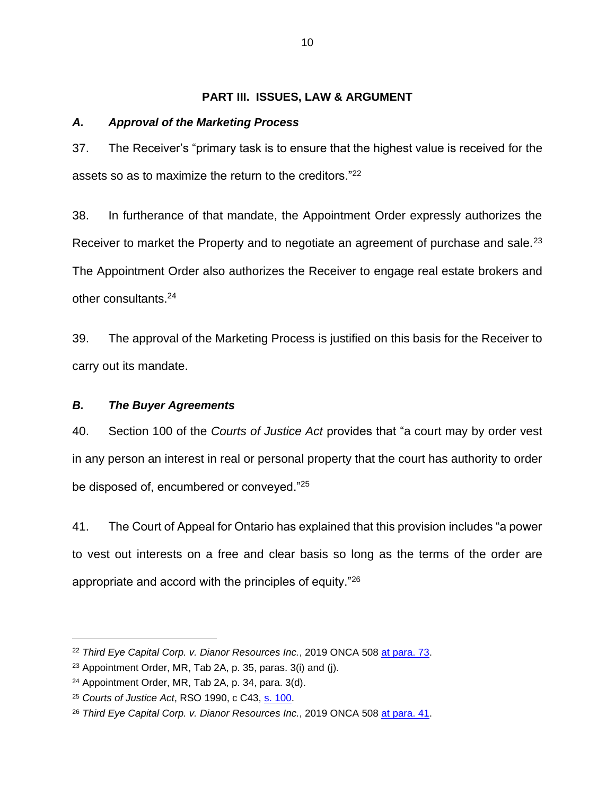#### **PART III. ISSUES, LAW & ARGUMENT**

#### *A. Approval of the Marketing Process*

37. The Receiver's "primary task is to ensure that the highest value is received for the assets so as to maximize the return to the creditors."<sup>22</sup>

38. In furtherance of that mandate, the Appointment Order expressly authorizes the Receiver to market the Property and to negotiate an agreement of purchase and sale.<sup>23</sup> The Appointment Order also authorizes the Receiver to engage real estate brokers and other consultants.<sup>24</sup>

39. The approval of the Marketing Process is justified on this basis for the Receiver to carry out its mandate.

#### *B. The Buyer Agreements*

40. Section 100 of the *Courts of Justice Act* provides that "a court may by order vest in any person an interest in real or personal property that the court has authority to order be disposed of, encumbered or conveyed."<sup>25</sup>

41. The Court of Appeal for Ontario has explained that this provision includes "a power to vest out interests on a free and clear basis so long as the terms of the order are appropriate and accord with the principles of equity."<sup>26</sup>

<sup>22</sup> *Third Eye Capital Corp. v. Dianor Resources Inc.*, 2019 ONCA 508 [at para. 73.](https://www.canlii.org/en/on/onca/doc/2019/2019onca508/2019onca508.html#par73)

<sup>23</sup> Appointment Order, MR, Tab 2A, p. 35, paras. 3(i) and (j).

<sup>24</sup> Appointment Order, MR, Tab 2A, p. 34, para. 3(d).

<sup>25</sup> *Courts of Justice Act*, RSO 1990, c C43, [s. 100.](https://www.ontario.ca/laws/statute/90c43#BK139)

<sup>26</sup> *Third Eye Capital Corp. v. Dianor Resources Inc.*, 2019 ONCA 508 [at para. 41.](https://www.canlii.org/en/on/onca/doc/2019/2019onca508/2019onca508.html#par41)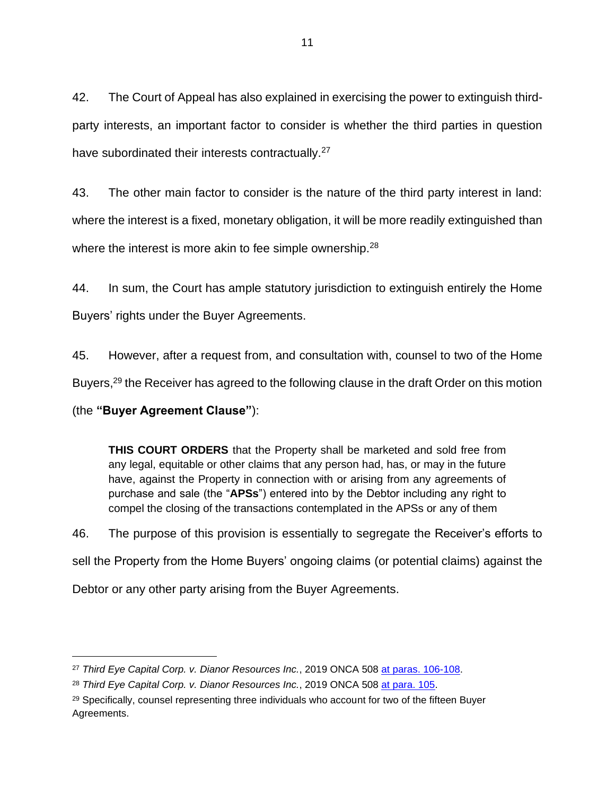42. The Court of Appeal has also explained in exercising the power to extinguish thirdparty interests, an important factor to consider is whether the third parties in question have subordinated their interests contractually.<sup>27</sup>

43. The other main factor to consider is the nature of the third party interest in land: where the interest is a fixed, monetary obligation, it will be more readily extinguished than where the interest is more akin to fee simple ownership.<sup>28</sup>

44. In sum, the Court has ample statutory jurisdiction to extinguish entirely the Home Buyers' rights under the Buyer Agreements.

45. However, after a request from, and consultation with, counsel to two of the Home

Buyers,<sup>29</sup> the Receiver has agreed to the following clause in the draft Order on this motion

(the **"Buyer Agreement Clause"**):

**THIS COURT ORDERS** that the Property shall be marketed and sold free from any legal, equitable or other claims that any person had, has, or may in the future have, against the Property in connection with or arising from any agreements of purchase and sale (the "**APSs**") entered into by the Debtor including any right to compel the closing of the transactions contemplated in the APSs or any of them

46. The purpose of this provision is essentially to segregate the Receiver's efforts to sell the Property from the Home Buyers' ongoing claims (or potential claims) against the Debtor or any other party arising from the Buyer Agreements.

<sup>27</sup> *Third Eye Capital Corp. v. Dianor Resources Inc.*, 2019 ONCA 508 [at paras. 106-108.](https://www.canlii.org/en/on/onca/doc/2019/2019onca508/2019onca508.html#par106)

<sup>28</sup> *Third Eye Capital Corp. v. Dianor Resources Inc.*, 2019 ONCA 508 [at para. 105.](https://www.canlii.org/en/on/onca/doc/2019/2019onca508/2019onca508.html#par105)

<sup>&</sup>lt;sup>29</sup> Specifically, counsel representing three individuals who account for two of the fifteen Buyer Agreements.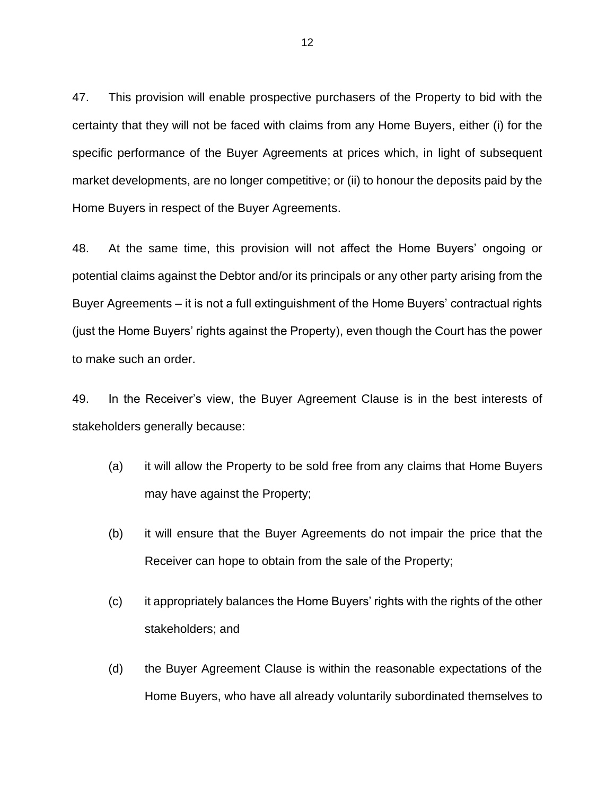47. This provision will enable prospective purchasers of the Property to bid with the certainty that they will not be faced with claims from any Home Buyers, either (i) for the specific performance of the Buyer Agreements at prices which, in light of subsequent market developments, are no longer competitive; or (ii) to honour the deposits paid by the Home Buyers in respect of the Buyer Agreements.

48. At the same time, this provision will not affect the Home Buyers' ongoing or potential claims against the Debtor and/or its principals or any other party arising from the Buyer Agreements – it is not a full extinguishment of the Home Buyers' contractual rights (just the Home Buyers' rights against the Property), even though the Court has the power to make such an order.

49. In the Receiver's view, the Buyer Agreement Clause is in the best interests of stakeholders generally because:

- (a) it will allow the Property to be sold free from any claims that Home Buyers may have against the Property;
- (b) it will ensure that the Buyer Agreements do not impair the price that the Receiver can hope to obtain from the sale of the Property;
- (c) it appropriately balances the Home Buyers' rights with the rights of the other stakeholders; and
- (d) the Buyer Agreement Clause is within the reasonable expectations of the Home Buyers, who have all already voluntarily subordinated themselves to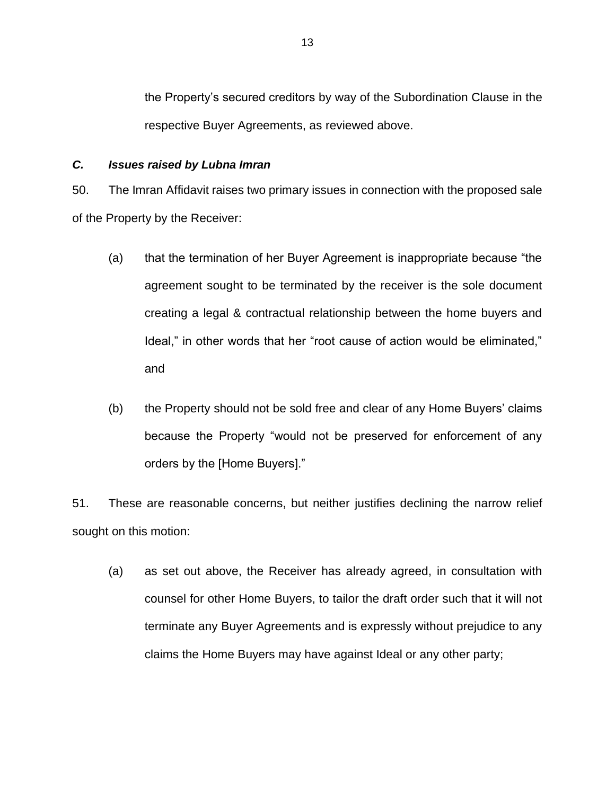the Property's secured creditors by way of the Subordination Clause in the respective Buyer Agreements, as reviewed above.

#### *C. Issues raised by Lubna Imran*

50. The Imran Affidavit raises two primary issues in connection with the proposed sale of the Property by the Receiver:

- (a) that the termination of her Buyer Agreement is inappropriate because "the agreement sought to be terminated by the receiver is the sole document creating a legal & contractual relationship between the home buyers and Ideal," in other words that her "root cause of action would be eliminated," and
- (b) the Property should not be sold free and clear of any Home Buyers' claims because the Property "would not be preserved for enforcement of any orders by the [Home Buyers]."

51. These are reasonable concerns, but neither justifies declining the narrow relief sought on this motion:

(a) as set out above, the Receiver has already agreed, in consultation with counsel for other Home Buyers, to tailor the draft order such that it will not terminate any Buyer Agreements and is expressly without prejudice to any claims the Home Buyers may have against Ideal or any other party;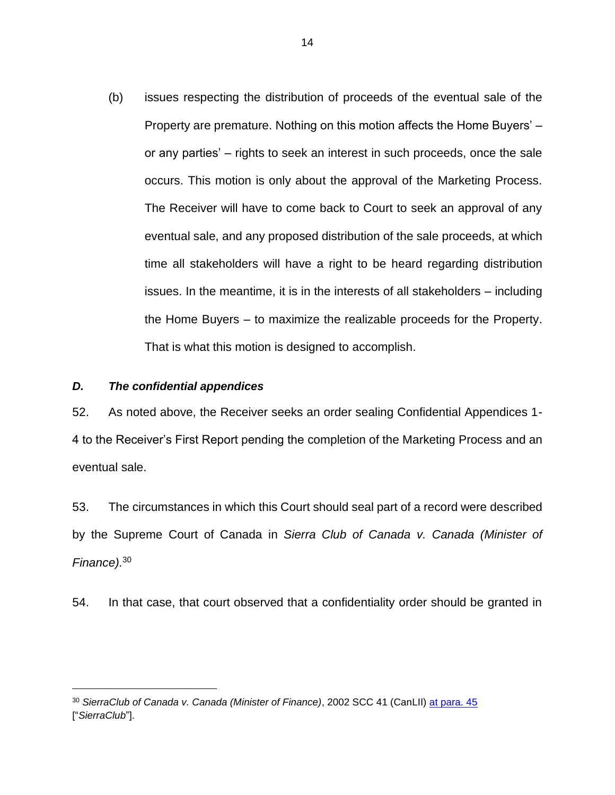(b) issues respecting the distribution of proceeds of the eventual sale of the Property are premature. Nothing on this motion affects the Home Buyers' – or any parties' – rights to seek an interest in such proceeds, once the sale occurs. This motion is only about the approval of the Marketing Process. The Receiver will have to come back to Court to seek an approval of any eventual sale, and any proposed distribution of the sale proceeds, at which time all stakeholders will have a right to be heard regarding distribution issues. In the meantime, it is in the interests of all stakeholders – including the Home Buyers – to maximize the realizable proceeds for the Property. That is what this motion is designed to accomplish.

#### *D. The confidential appendices*

52. As noted above, the Receiver seeks an order sealing Confidential Appendices 1- 4 to the Receiver's First Report pending the completion of the Marketing Process and an eventual sale.

53. The circumstances in which this Court should seal part of a record were described by the Supreme Court of Canada in *Sierra Club of Canada v. Canada (Minister of Finance).*<sup>30</sup>

54. In that case, that court observed that a confidentiality order should be granted in

<sup>30</sup> *SierraClub of Canada v. Canada (Minister of Finance)*, 2002 SCC 41 (CanLII) [at para. 45](http://canlii.ca/t/51s4) ["*SierraClub*"].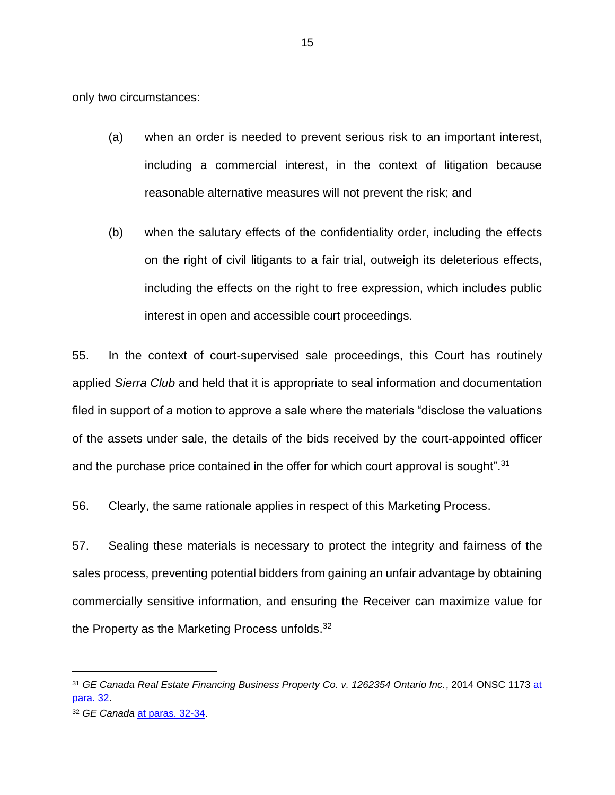only two circumstances:

- (a) when an order is needed to prevent serious risk to an important interest, including a commercial interest, in the context of litigation because reasonable alternative measures will not prevent the risk; and
- (b) when the salutary effects of the confidentiality order, including the effects on the right of civil litigants to a fair trial, outweigh its deleterious effects, including the effects on the right to free expression, which includes public interest in open and accessible court proceedings.

55. In the context of court-supervised sale proceedings, this Court has routinely applied *Sierra Club* and held that it is appropriate to seal information and documentation filed in support of a motion to approve a sale where the materials "disclose the valuations of the assets under sale, the details of the bids received by the court-appointed officer and the purchase price contained in the offer for which court approval is sought".<sup>31</sup>

56. Clearly, the same rationale applies in respect of this Marketing Process.

57. Sealing these materials is necessary to protect the integrity and fairness of the sales process, preventing potential bidders from gaining an unfair advantage by obtaining commercially sensitive information, and ensuring the Receiver can maximize value for the Property as the Marketing Process unfolds.<sup>32</sup>

<sup>31</sup> *GE Canada Real Estate Financing Business Property Co. v. 1262354 Ontario Inc.*, 2014 ONSC 1173 [at](http://canlii.ca/t/g3rnh#par32)  [para. 32.](http://canlii.ca/t/g3rnh#par32)

<sup>32</sup> *GE Canada* [at paras. 32-34.](http://canlii.ca/t/g3rnh#par32)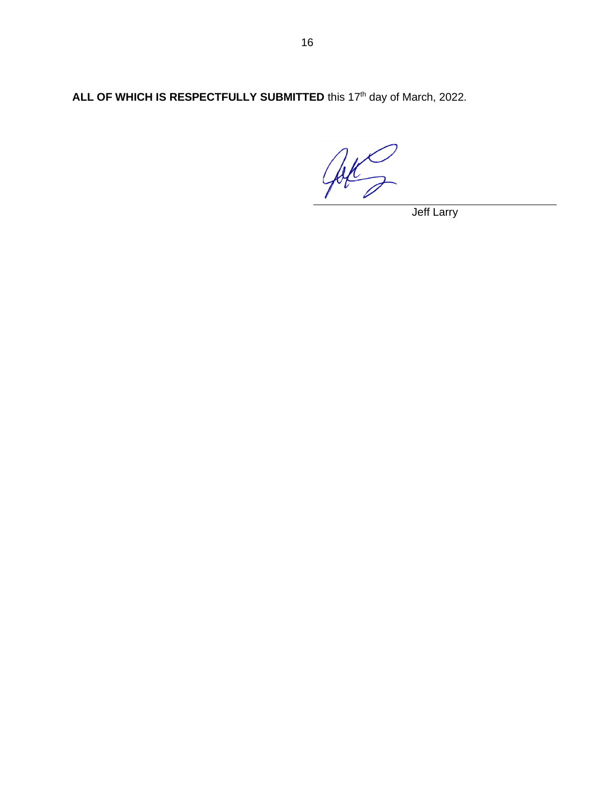ALL OF WHICH IS RESPECTFULLY SUBMITTED this 17<sup>th</sup> day of March, 2022.

Jok 2

Jeff Larry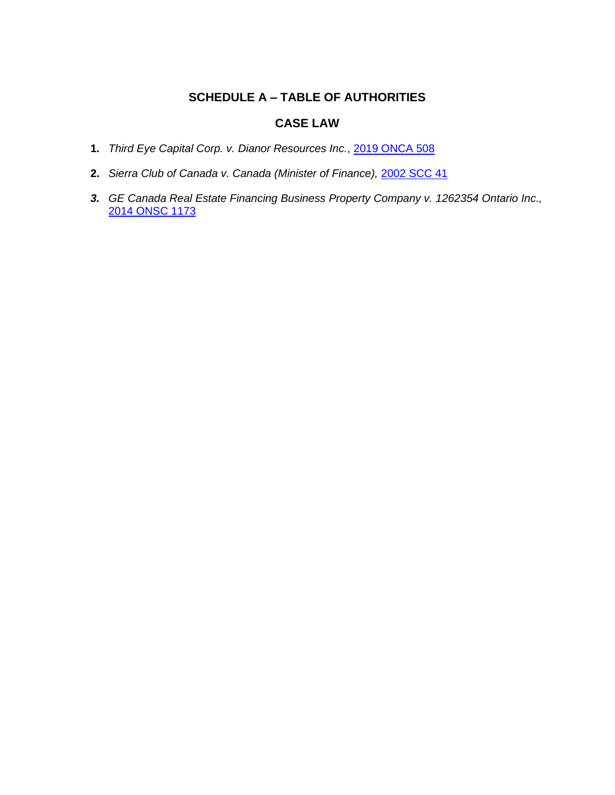# **SCHEDULE A – TABLE OF AUTHORITIES**

## **CASE LAW**

- **1.** *Third Eye Capital Corp. v. Dianor Resources Inc.*, [2019 ONCA 508](https://canlii.ca/t/j12dh)
- **2.** *Sierra Club of Canada v. Canada (Minister of Finance),* [2002 SCC 41](https://canlii.ca/t/51s4)
- *3. GE Canada Real Estate Financing Business Property Company v. 1262354 Ontario Inc.,* [2014 ONSC 1173](https://canlii.ca/t/g3rnh)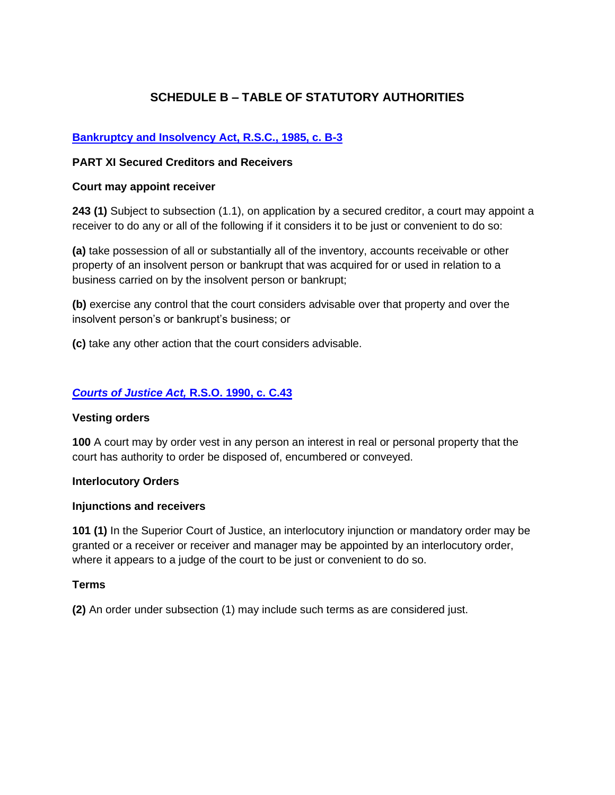# **SCHEDULE B – TABLE OF STATUTORY AUTHORITIES**

## **[Bankruptcy and Insolvency Act, R.S.C., 1985, c. B-3](https://laws-lois.justice.gc.ca/eng/acts/b-3/)**

#### **PART XI Secured Creditors and Receivers**

#### **Court may appoint receiver**

**243 (1)** Subject to subsection (1.1), on application by a secured creditor, a court may appoint a receiver to do any or all of the following if it considers it to be just or convenient to do so:

**(a)** take possession of all or substantially all of the inventory, accounts receivable or other property of an insolvent person or bankrupt that was acquired for or used in relation to a business carried on by the insolvent person or bankrupt;

**(b)** exercise any control that the court considers advisable over that property and over the insolvent person's or bankrupt's business; or

**(c)** take any other action that the court considers advisable.

### *[Courts of Justice Act,](https://www.ontario.ca/laws/statute/90c43)* **R.S.O. 1990, c. C.43**

#### **Vesting orders**

**100** A court may by order vest in any person an interest in real or personal property that the court has authority to order be disposed of, encumbered or conveyed.

#### **Interlocutory Orders**

#### **Injunctions and receivers**

**101 (1)** In the Superior Court of Justice, an interlocutory injunction or mandatory order may be granted or a receiver or receiver and manager may be appointed by an interlocutory order, where it appears to a judge of the court to be just or convenient to do so.

#### **Terms**

**(2)** An order under subsection (1) may include such terms as are considered just.